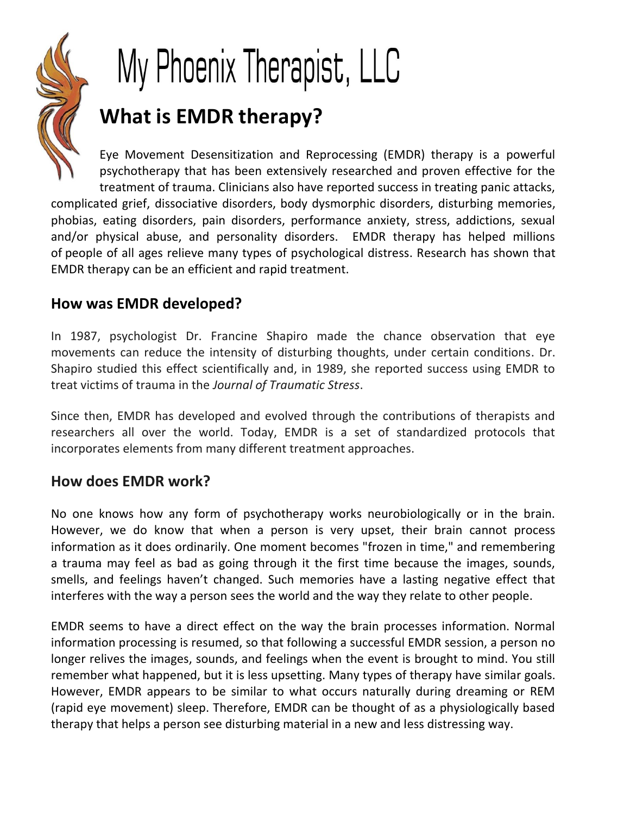

# My Phoenix Therapist, LLC **What is EMDR therapy?**

Eye Movement Desensitization and Reprocessing (EMDR) therapy is a powerful psychotherapy that has been extensively researched and proven effective for the treatment of trauma. Clinicians also have reported success in treating panic attacks, complicated grief, dissociative disorders, body dysmorphic disorders, disturbing memories, phobias, eating disorders, pain disorders, performance anxiety, stress, addictions, sexual and/or physical abuse, and personality disorders. EMDR therapy has helped millions of people of all ages relieve many types of psychological distress. Research has shown that EMDR therapy can be an efficient and rapid treatment.

## **How was EMDR developed?**

In 1987, psychologist Dr. Francine Shapiro made the chance observation that eye movements can reduce the intensity of disturbing thoughts, under certain conditions. Dr. Shapiro studied this effect scientifically and, in 1989, she reported success using EMDR to treat victims of trauma in the *Journal of Traumatic Stress*.

Since then, EMDR has developed and evolved through the contributions of therapists and researchers all over the world. Today, EMDR is a set of standardized protocols that incorporates elements from many different treatment approaches.

#### **How does EMDR work?**

No one knows how any form of psychotherapy works neurobiologically or in the brain. However, we do know that when a person is very upset, their brain cannot process information as it does ordinarily. One moment becomes "frozen in time," and remembering a trauma may feel as bad as going through it the first time because the images, sounds, smells, and feelings haven't changed. Such memories have a lasting negative effect that interferes with the way a person sees the world and the way they relate to other people.

EMDR seems to have a direct effect on the way the brain processes information. Normal information processing is resumed, so that following a successful EMDR session, a person no longer relives the images, sounds, and feelings when the event is brought to mind. You still remember what happened, but it is less upsetting. Many types of therapy have similar goals. However, EMDR appears to be similar to what occurs naturally during dreaming or REM (rapid eye movement) sleep. Therefore, EMDR can be thought of as a physiologically based therapy that helps a person see disturbing material in a new and less distressing way.